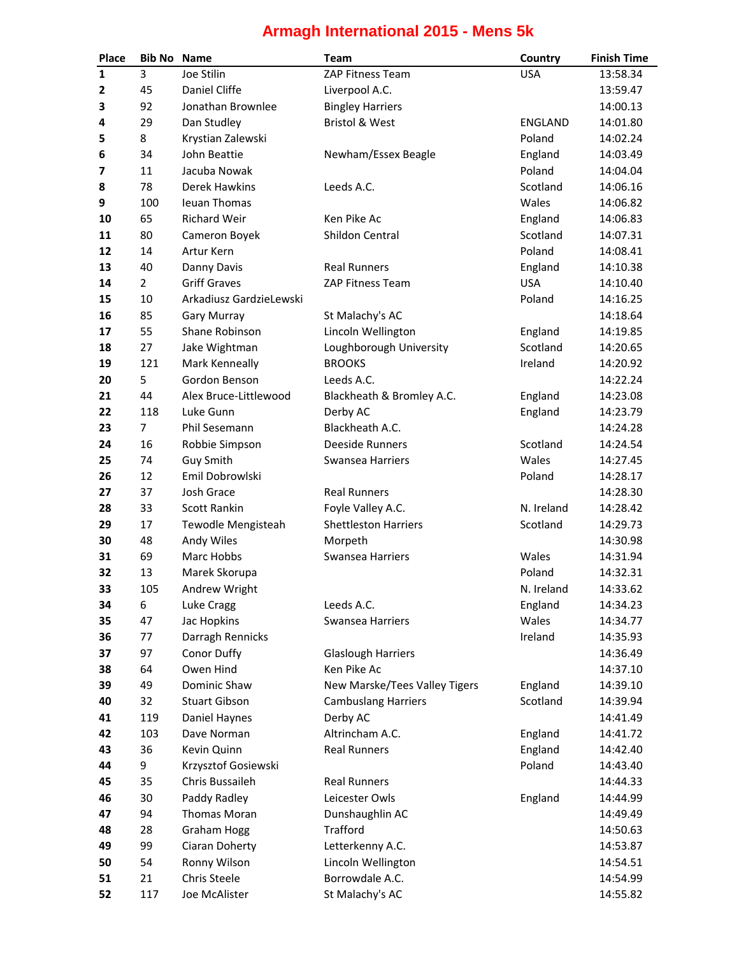## **Armagh International 2015 - Mens 5k**

| Place        | <b>Bib No</b> Name |                         | <b>Team</b>                   | Country        | <b>Finish Time</b> |
|--------------|--------------------|-------------------------|-------------------------------|----------------|--------------------|
| $\mathbf{1}$ | 3                  | Joe Stilin              | ZAP Fitness Team              | <b>USA</b>     | 13:58.34           |
| $\mathbf{2}$ | 45                 | Daniel Cliffe           | Liverpool A.C.                |                | 13:59.47           |
| З            | 92                 | Jonathan Brownlee       | <b>Bingley Harriers</b>       |                | 14:00.13           |
| 4            | 29                 | Dan Studley             | <b>Bristol &amp; West</b>     | <b>ENGLAND</b> | 14:01.80           |
| 5            | 8                  | Krystian Zalewski       |                               | Poland         | 14:02.24           |
| 6            | 34                 | John Beattie            | Newham/Essex Beagle           | England        | 14:03.49           |
| 7            | 11                 | Jacuba Nowak            |                               | Poland         | 14:04.04           |
| 8            | 78                 | Derek Hawkins           | Leeds A.C.                    | Scotland       | 14:06.16           |
| 9            | 100                | Ieuan Thomas            |                               | Wales          | 14:06.82           |
| 10           | 65                 | <b>Richard Weir</b>     | Ken Pike Ac                   | England        | 14:06.83           |
| 11           | 80                 | Cameron Boyek           | Shildon Central               | Scotland       | 14:07.31           |
| 12           | 14                 | Artur Kern              |                               | Poland         | 14:08.41           |
| 13           | 40                 | Danny Davis             | <b>Real Runners</b>           | England        | 14:10.38           |
| 14           | $\overline{2}$     | <b>Griff Graves</b>     | ZAP Fitness Team              | <b>USA</b>     | 14:10.40           |
| 15           | 10                 | Arkadiusz GardzieLewski |                               | Poland         | 14:16.25           |
| 16           | 85                 | <b>Gary Murray</b>      | St Malachy's AC               |                | 14:18.64           |
| 17           | 55                 | Shane Robinson          | Lincoln Wellington            | England        | 14:19.85           |
| 18           | 27                 | Jake Wightman           | Loughborough University       | Scotland       | 14:20.65           |
| 19           | 121                | Mark Kenneally          | <b>BROOKS</b>                 | Ireland        | 14:20.92           |
| 20           | 5                  | Gordon Benson           | Leeds A.C.                    |                | 14:22.24           |
| 21           | 44                 | Alex Bruce-Littlewood   | Blackheath & Bromley A.C.     | England        | 14:23.08           |
| 22           | 118                | Luke Gunn               | Derby AC                      | England        | 14:23.79           |
| 23           | 7                  | Phil Sesemann           | Blackheath A.C.               |                | 14:24.28           |
| 24           | 16                 | Robbie Simpson          | <b>Deeside Runners</b>        | Scotland       | 14:24.54           |
| 25           | 74                 | <b>Guy Smith</b>        | Swansea Harriers              | Wales          | 14:27.45           |
| 26           | 12                 | Emil Dobrowlski         |                               | Poland         | 14:28.17           |
| 27           | 37                 | Josh Grace              | <b>Real Runners</b>           |                | 14:28.30           |
| 28           | 33                 | <b>Scott Rankin</b>     | Foyle Valley A.C.             | N. Ireland     | 14:28.42           |
| 29           | 17                 | Tewodle Mengisteah      | <b>Shettleston Harriers</b>   | Scotland       | 14:29.73           |
| 30           | 48                 | Andy Wiles              | Morpeth                       |                | 14:30.98           |
| 31           | 69                 | Marc Hobbs              | Swansea Harriers              | Wales          | 14:31.94           |
| 32           | 13                 | Marek Skorupa           |                               | Poland         | 14:32.31           |
| 33           | 105                | Andrew Wright           |                               | N. Ireland     | 14:33.62           |
| 34           | 6                  | Luke Cragg              | Leeds A.C.                    | England        | 14:34.23           |
| 35           | 47                 | Jac Hopkins             | Swansea Harriers              | Wales          | 14:34.77           |
| 36           | 77                 | Darragh Rennicks        |                               | Ireland        | 14:35.93           |
| 37           | 97                 | Conor Duffy             | <b>Glaslough Harriers</b>     |                | 14:36.49           |
| 38           | 64                 | Owen Hind               | Ken Pike Ac                   |                | 14:37.10           |
| 39           | 49                 | Dominic Shaw            | New Marske/Tees Valley Tigers | England        | 14:39.10           |
| 40           | 32                 | <b>Stuart Gibson</b>    | <b>Cambuslang Harriers</b>    | Scotland       | 14:39.94           |
| 41           | 119                | Daniel Haynes           | Derby AC                      |                | 14:41.49           |
| 42           | 103                | Dave Norman             | Altrincham A.C.               | England        | 14:41.72           |
| 43           | 36                 | Kevin Quinn             | <b>Real Runners</b>           | England        | 14:42.40           |
| 44           | 9                  | Krzysztof Gosiewski     |                               | Poland         | 14:43.40           |
| 45           | 35                 | Chris Bussaileh         | <b>Real Runners</b>           |                | 14:44.33           |
| 46           | 30                 | Paddy Radley            | Leicester Owls                | England        | 14:44.99           |
| 47           | 94                 | Thomas Moran            | Dunshaughlin AC               |                | 14:49.49           |
| 48           | 28                 | <b>Graham Hogg</b>      | <b>Trafford</b>               |                | 14:50.63           |
| 49           | 99                 | Ciaran Doherty          | Letterkenny A.C.              |                | 14:53.87           |
| 50           | 54                 | Ronny Wilson            | Lincoln Wellington            |                | 14:54.51           |
| 51           | 21                 | Chris Steele            | Borrowdale A.C.               |                | 14:54.99           |
| 52           | 117                | Joe McAlister           | St Malachy's AC               |                | 14:55.82           |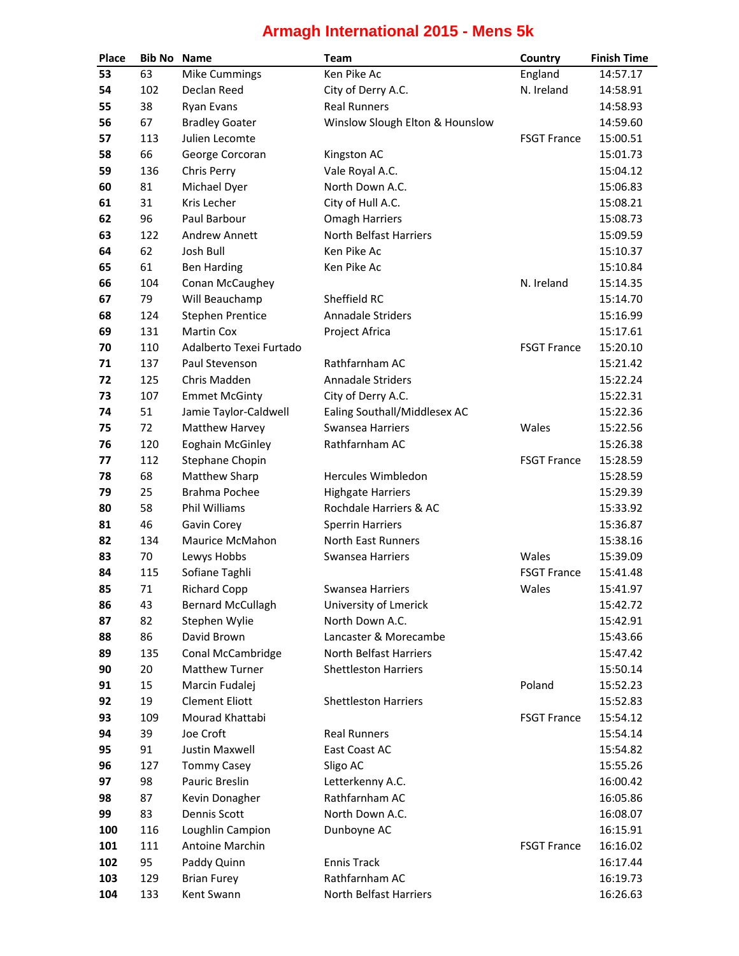## **Armagh International 2015 - Mens 5k**

| <b>Place</b> | <b>Bib No Name</b> |                          | <b>Team</b>                     | Country            | <b>Finish Time</b> |
|--------------|--------------------|--------------------------|---------------------------------|--------------------|--------------------|
| 53           | 63                 | <b>Mike Cummings</b>     | Ken Pike Ac                     | England            | 14:57.17           |
| 54           | 102                | Declan Reed              | City of Derry A.C.              | N. Ireland         | 14:58.91           |
| 55           | 38                 | <b>Ryan Evans</b>        | <b>Real Runners</b>             |                    | 14:58.93           |
| 56           | 67                 | <b>Bradley Goater</b>    | Winslow Slough Elton & Hounslow |                    | 14:59.60           |
| 57           | 113                | Julien Lecomte           |                                 | <b>FSGT France</b> | 15:00.51           |
| 58           | 66                 | George Corcoran          | Kingston AC                     |                    | 15:01.73           |
| 59           | 136                | Chris Perry              | Vale Royal A.C.                 |                    | 15:04.12           |
| 60           | 81                 | Michael Dyer             | North Down A.C.                 |                    | 15:06.83           |
| 61           | 31                 | Kris Lecher              | City of Hull A.C.               |                    | 15:08.21           |
| 62           | 96                 | Paul Barbour             | <b>Omagh Harriers</b>           |                    | 15:08.73           |
| 63           | 122                | Andrew Annett            | North Belfast Harriers          |                    | 15:09.59           |
| 64           | 62                 | Josh Bull                | Ken Pike Ac                     |                    | 15:10.37           |
| 65           | 61                 | <b>Ben Harding</b>       | Ken Pike Ac                     |                    | 15:10.84           |
| 66           | 104                | Conan McCaughey          |                                 | N. Ireland         | 15:14.35           |
| 67           | 79                 | Will Beauchamp           | Sheffield RC                    |                    | 15:14.70           |
| 68           | 124                | <b>Stephen Prentice</b>  | Annadale Striders               |                    | 15:16.99           |
| 69           | 131                | <b>Martin Cox</b>        | Project Africa                  |                    | 15:17.61           |
| 70           | 110                | Adalberto Texei Furtado  |                                 | <b>FSGT France</b> | 15:20.10           |
| 71           | 137                | Paul Stevenson           | Rathfarnham AC                  |                    | 15:21.42           |
| 72           | 125                | Chris Madden             | <b>Annadale Striders</b>        |                    | 15:22.24           |
| 73           | 107                | <b>Emmet McGinty</b>     | City of Derry A.C.              |                    | 15:22.31           |
| 74           | 51                 | Jamie Taylor-Caldwell    | Ealing Southall/Middlesex AC    |                    | 15:22.36           |
| 75           | 72                 | Matthew Harvey           | Swansea Harriers                | Wales              | 15:22.56           |
| 76           | 120                | Eoghain McGinley         | Rathfarnham AC                  |                    | 15:26.38           |
| 77           | 112                | Stephane Chopin          |                                 | <b>FSGT France</b> | 15:28.59           |
| 78           | 68                 | Matthew Sharp            | Hercules Wimbledon              |                    | 15:28.59           |
| 79           | 25                 | Brahma Pochee            | <b>Highgate Harriers</b>        |                    | 15:29.39           |
| 80           | 58                 | Phil Williams            | Rochdale Harriers & AC          |                    | 15:33.92           |
| 81           | 46                 | Gavin Corey              | <b>Sperrin Harriers</b>         |                    | 15:36.87           |
| 82           | 134                | Maurice McMahon          | North East Runners              |                    | 15:38.16           |
| 83           | 70                 | Lewys Hobbs              | Swansea Harriers                | Wales              | 15:39.09           |
| 84           | 115                | Sofiane Taghli           |                                 | <b>FSGT France</b> | 15:41.48           |
| 85           | 71                 | <b>Richard Copp</b>      | Swansea Harriers                | Wales              | 15:41.97           |
| 86           | 43                 | <b>Bernard McCullagh</b> | University of Lmerick           |                    | 15:42.72           |
| 87           | 82                 | Stephen Wylie            | North Down A.C.                 |                    | 15:42.91           |
| 88           | 86                 | David Brown              | Lancaster & Morecambe           |                    | 15:43.66           |
| 89           | 135                | Conal McCambridge        | North Belfast Harriers          |                    | 15:47.42           |
| 90           | 20                 | <b>Matthew Turner</b>    | <b>Shettleston Harriers</b>     |                    | 15:50.14           |
| 91           | 15                 | Marcin Fudalej           |                                 | Poland             | 15:52.23           |
| 92           | 19                 | <b>Clement Eliott</b>    | <b>Shettleston Harriers</b>     |                    | 15:52.83           |
| 93           | 109                | Mourad Khattabi          |                                 | <b>FSGT France</b> | 15:54.12           |
| 94           | 39                 | Joe Croft                | <b>Real Runners</b>             |                    | 15:54.14           |
| 95           | 91                 | Justin Maxwell           | East Coast AC                   |                    | 15:54.82           |
| 96           | 127                | <b>Tommy Casey</b>       | Sligo AC                        |                    | 15:55.26           |
| 97           | 98                 | Pauric Breslin           | Letterkenny A.C.                |                    | 16:00.42           |
| 98           | 87                 | Kevin Donagher           | Rathfarnham AC                  |                    | 16:05.86           |
| 99           | 83                 | Dennis Scott             | North Down A.C.                 |                    | 16:08.07           |
| 100          | 116                | Loughlin Campion         | Dunboyne AC                     |                    | 16:15.91           |
| 101          | 111                | Antoine Marchin          |                                 | <b>FSGT France</b> | 16:16.02           |
| 102          | 95                 | Paddy Quinn              | <b>Ennis Track</b>              |                    | 16:17.44           |
| 103          | 129                | <b>Brian Furey</b>       | Rathfarnham AC                  |                    | 16:19.73           |
| 104          | 133                | Kent Swann               | North Belfast Harriers          |                    | 16:26.63           |